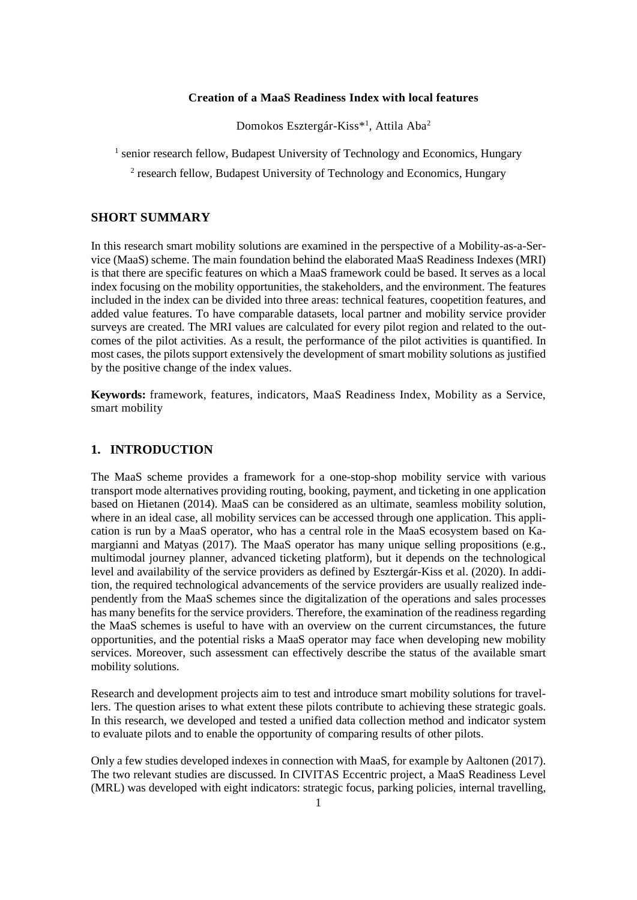# **Creation of a MaaS Readiness Index with local features**

Domokos Esztergár-Kiss\*<sup>1</sup>, Attila Aba<sup>2</sup>

<sup>1</sup> senior research fellow, Budapest University of Technology and Economics, Hungary

<sup>2</sup> research fellow, Budapest University of Technology and Economics, Hungary

# **SHORT SUMMARY**

In this research smart mobility solutions are examined in the perspective of a Mobility-as-a-Service (MaaS) scheme. The main foundation behind the elaborated MaaS Readiness Indexes (MRI) is that there are specific features on which a MaaS framework could be based. It serves as a local index focusing on the mobility opportunities, the stakeholders, and the environment. The features included in the index can be divided into three areas: technical features, coopetition features, and added value features. To have comparable datasets, local partner and mobility service provider surveys are created. The MRI values are calculated for every pilot region and related to the outcomes of the pilot activities. As a result, the performance of the pilot activities is quantified. In most cases, the pilots support extensively the development of smart mobility solutions as justified by the positive change of the index values.

**Keywords:** framework, features, indicators, MaaS Readiness Index, Mobility as a Service, smart mobility

### **1. INTRODUCTION**

The MaaS scheme provides a framework for a one-stop-shop mobility service with various transport mode alternatives providing routing, booking, payment, and ticketing in one application based on Hietanen (2014). MaaS can be considered as an ultimate, seamless mobility solution, where in an ideal case, all mobility services can be accessed through one application. This application is run by a MaaS operator, who has a central role in the MaaS ecosystem based on Kamargianni and Matyas (2017). The MaaS operator has many unique selling propositions (e.g., multimodal journey planner, advanced ticketing platform), but it depends on the technological level and availability of the service providers as defined by Esztergár-Kiss et al. (2020). In addition, the required technological advancements of the service providers are usually realized independently from the MaaS schemes since the digitalization of the operations and sales processes has many benefits for the service providers. Therefore, the examination of the readiness regarding the MaaS schemes is useful to have with an overview on the current circumstances, the future opportunities, and the potential risks a MaaS operator may face when developing new mobility services. Moreover, such assessment can effectively describe the status of the available smart mobility solutions.

Research and development projects aim to test and introduce smart mobility solutions for travellers. The question arises to what extent these pilots contribute to achieving these strategic goals. In this research, we developed and tested a unified data collection method and indicator system to evaluate pilots and to enable the opportunity of comparing results of other pilots.

Only a few studies developed indexes in connection with MaaS, for example by Aaltonen (2017). The two relevant studies are discussed. In CIVITAS Eccentric project, a MaaS Readiness Level (MRL) was developed with eight indicators: strategic focus, parking policies, internal travelling,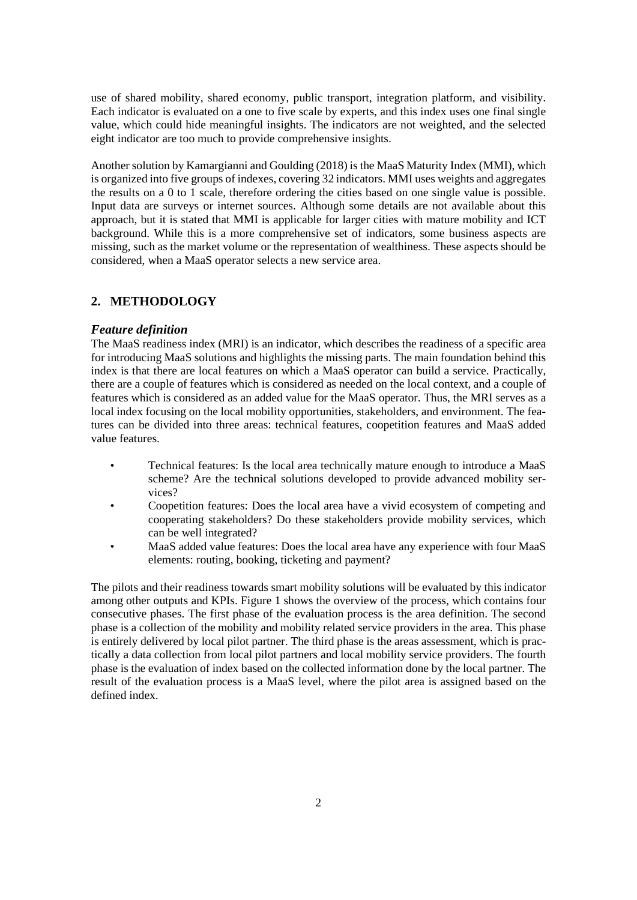use of shared mobility, shared economy, public transport, integration platform, and visibility. Each indicator is evaluated on a one to five scale by experts, and this index uses one final single value, which could hide meaningful insights. The indicators are not weighted, and the selected eight indicator are too much to provide comprehensive insights.

Another solution by Kamargianni and Goulding (2018) is the MaaS Maturity Index (MMI), which is organized into five groups of indexes, covering 32 indicators. MMI uses weights and aggregates the results on a 0 to 1 scale, therefore ordering the cities based on one single value is possible. Input data are surveys or internet sources. Although some details are not available about this approach, but it is stated that MMI is applicable for larger cities with mature mobility and ICT background. While this is a more comprehensive set of indicators, some business aspects are missing, such as the market volume or the representation of wealthiness. These aspects should be considered, when a MaaS operator selects a new service area.

## **2. METHODOLOGY**

### *Feature definition*

The MaaS readiness index (MRI) is an indicator, which describes the readiness of a specific area for introducing MaaS solutions and highlights the missing parts. The main foundation behind this index is that there are local features on which a MaaS operator can build a service. Practically, there are a couple of features which is considered as needed on the local context, and a couple of features which is considered as an added value for the MaaS operator. Thus, the MRI serves as a local index focusing on the local mobility opportunities, stakeholders, and environment. The features can be divided into three areas: technical features, coopetition features and MaaS added value features.

- Technical features: Is the local area technically mature enough to introduce a MaaS scheme? Are the technical solutions developed to provide advanced mobility services?
- Coopetition features: Does the local area have a vivid ecosystem of competing and cooperating stakeholders? Do these stakeholders provide mobility services, which can be well integrated?
- MaaS added value features: Does the local area have any experience with four MaaS elements: routing, booking, ticketing and payment?

The pilots and their readiness towards smart mobility solutions will be evaluated by this indicator among other outputs and KPIs. Figure 1 shows the overview of the process, which contains four consecutive phases. The first phase of the evaluation process is the area definition. The second phase is a collection of the mobility and mobility related service providers in the area. This phase is entirely delivered by local pilot partner. The third phase is the areas assessment, which is practically a data collection from local pilot partners and local mobility service providers. The fourth phase is the evaluation of index based on the collected information done by the local partner. The result of the evaluation process is a MaaS level, where the pilot area is assigned based on the defined index.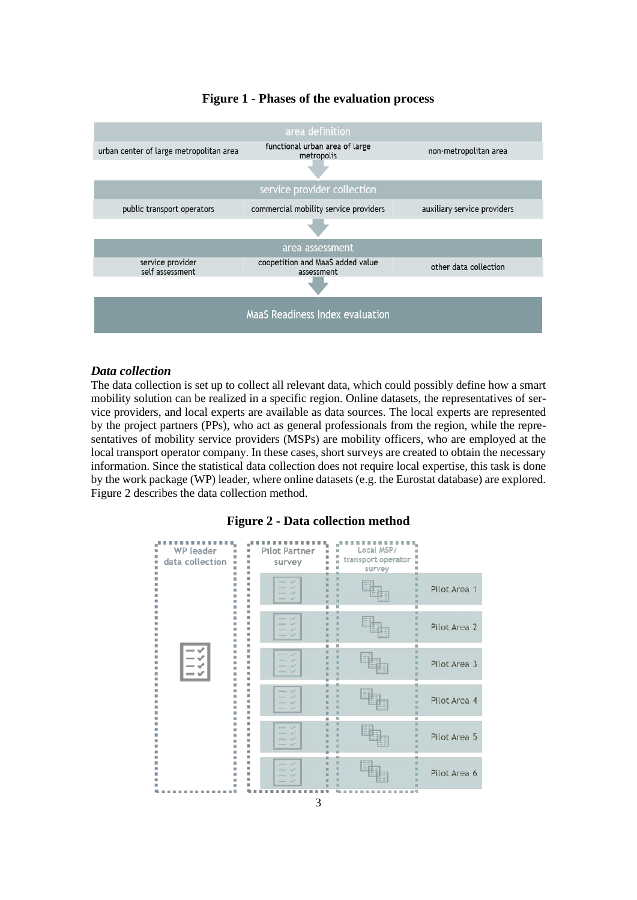

## **Figure 1 - Phases of the evaluation process**

## *Data collection*

The data collection is set up to collect all relevant data, which could possibly define how a smart mobility solution can be realized in a specific region. Online datasets, the representatives of service providers, and local experts are available as data sources. The local experts are represented by the project partners (PPs), who act as general professionals from the region, while the representatives of mobility service providers (MSPs) are mobility officers, who are employed at the local transport operator company. In these cases, short surveys are created to obtain the necessary information. Since the statistical data collection does not require local expertise, this task is done by the work package (WP) leader, where online datasets (e.g. the Eurostat database) are explored. Figure 2 describes the data collection method.

### **Figure 2 - Data collection method**

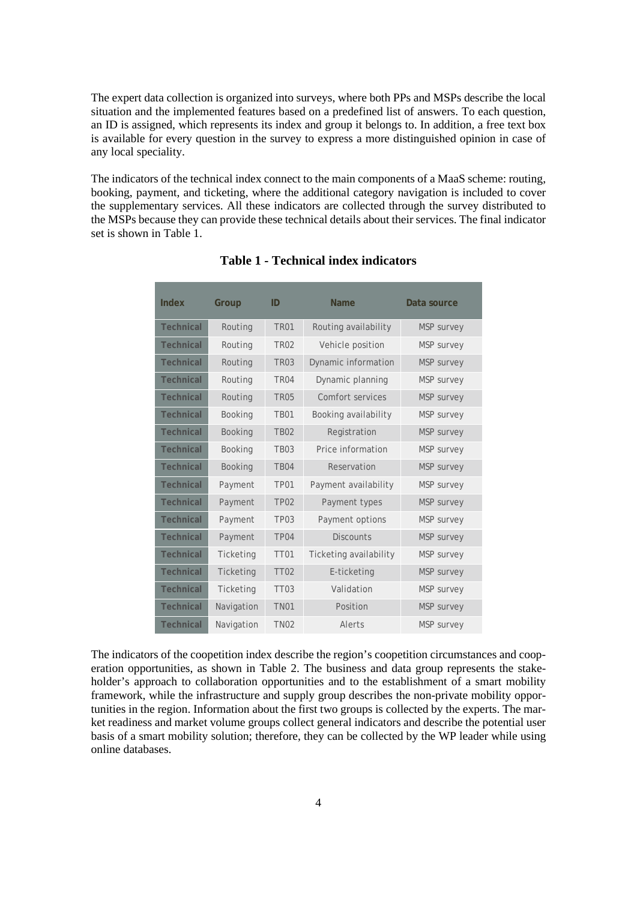The expert data collection is organized into surveys, where both PPs and MSPs describe the local situation and the implemented features based on a predefined list of answers. To each question, an ID is assigned, which represents its index and group it belongs to. In addition, a free text box is available for every question in the survey to express a more distinguished opinion in case of any local speciality.

The indicators of the technical index connect to the main components of a MaaS scheme: routing, booking, payment, and ticketing, where the additional category navigation is included to cover the supplementary services. All these indicators are collected through the survey distributed to the MSPs because they can provide these technical details about their services. The final indicator set is shown in Table 1.

| Index            | Group          | ID               | Name                   | Data source       |
|------------------|----------------|------------------|------------------------|-------------------|
| <b>Technical</b> | Routing        | <b>TR01</b>      | Routing availability   | <b>MSP</b> survey |
| <b>Technical</b> | Routing        | <b>TR02</b>      | Vehicle position       | <b>MSP</b> survey |
| <b>Technical</b> | Routing        | <b>TR03</b>      | Dynamic information    | <b>MSP</b> survey |
| <b>Technical</b> | Routing        | <b>TR04</b>      | Dynamic planning       | <b>MSP</b> survey |
| <b>Technical</b> | Routing        | <b>TR05</b>      | Comfort services       | <b>MSP</b> survey |
| <b>Technical</b> | <b>Booking</b> | <b>TB01</b>      | Booking availability   | <b>MSP</b> survey |
| <b>Technical</b> | Booking        | <b>TB02</b>      | Registration           | <b>MSP</b> survey |
| <b>Technical</b> | Booking        | <b>TB03</b>      | Price information      | MSP survey        |
| <b>Technical</b> | Booking        | <b>TB04</b>      | Reservation            | <b>MSP</b> survey |
| <b>Technical</b> | Payment        | TP <sub>01</sub> | Payment availability   | <b>MSP</b> survey |
| <b>Technical</b> | Payment        | TP <sub>02</sub> | Payment types          | <b>MSP</b> survey |
| <b>Technical</b> | Payment        | <b>TP03</b>      | Payment options        | <b>MSP</b> survey |
| <b>Technical</b> | Payment        | TP <sub>04</sub> | <b>Discounts</b>       | <b>MSP</b> survey |
| <b>Technical</b> | Ticketing      | <b>TT01</b>      | Ticketing availability | <b>MSP</b> survey |
| <b>Technical</b> | Ticketing      | <b>TT02</b>      | E-ticketing            | <b>MSP</b> survey |
| <b>Technical</b> | Ticketing      | <b>TT03</b>      | Validation             | <b>MSP</b> survey |
| <b>Technical</b> | Navigation     | <b>TN01</b>      | Position               | <b>MSP</b> survey |
| <b>Technical</b> | Navigation     | <b>TN02</b>      | Alerts                 | <b>MSP</b> survey |

## **Table 1 - Technical index indicators**

The indicators of the coopetition index describe the region's coopetition circumstances and cooperation opportunities, as shown in Table 2. The business and data group represents the stakeholder's approach to collaboration opportunities and to the establishment of a smart mobility framework, while the infrastructure and supply group describes the non-private mobility opportunities in the region. Information about the first two groups is collected by the experts. The market readiness and market volume groups collect general indicators and describe the potential user basis of a smart mobility solution; therefore, they can be collected by the WP leader while using online databases.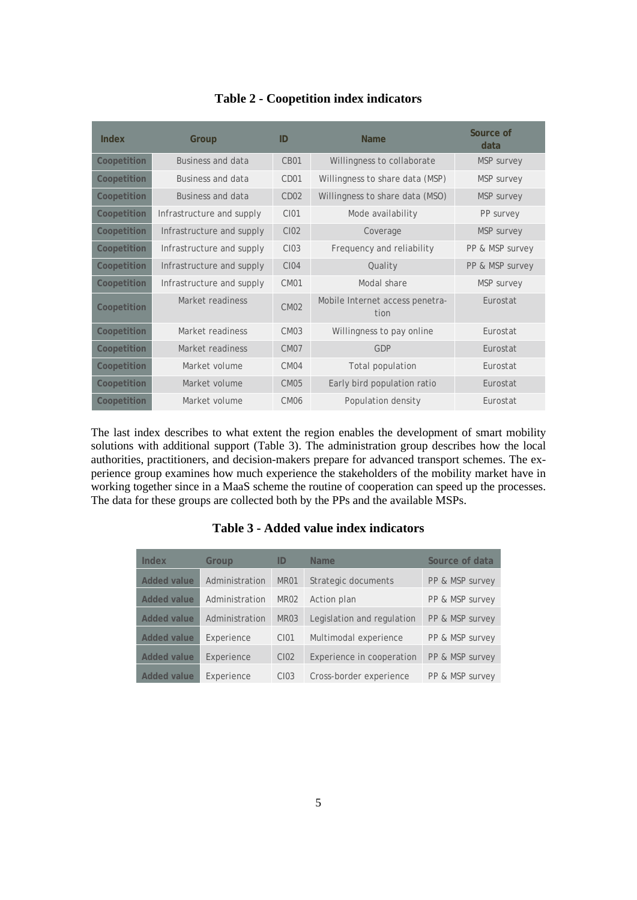| Index       | Group                     | ID                    | <b>Name</b>                             | Source of<br>data |
|-------------|---------------------------|-----------------------|-----------------------------------------|-------------------|
| Coopetition | <b>Business and data</b>  | $C$ <sub>RO</sub> $1$ | Willingness to collaborate              | <b>MSP</b> survey |
| Coopetition | Business and data         | CD <sub>01</sub>      | Willingness to share data (MSP)         | MSP survey        |
| Coopetition | Business and data         | CD <sub>02</sub>      | Willingness to share data (MSO)         | MSP survey        |
| Coopetition | Infrastructure and supply | CI01                  | Mode availability                       | PP survey         |
| Coopetition | Infrastructure and supply | C102                  | Coverage                                | MSP survey        |
| Coopetition | Infrastructure and supply | C <sub>103</sub>      | Frequency and reliability               | PP & MSP survey   |
| Coopetition | Infrastructure and supply | <b>CI04</b>           | Quality                                 | PP & MSP survey   |
| Coopetition | Infrastructure and supply | CM <sub>01</sub>      | Modal share                             | <b>MSP</b> survey |
| Coopetition | Market readiness          | CMO2                  | Mobile Internet access penetra-<br>tion | Furostat          |
| Coopetition | Market readiness          | CMO <sub>3</sub>      | Willingness to pay online               | Furostat          |
| Coopetition | Market readiness          | CM <sub>07</sub>      | GDP                                     | Eurostat          |
| Coopetition | Market volume             | CMO4                  | Total population                        | Furostat          |
| Coopetition | Market volume             | <b>CM05</b>           | Early bird population ratio             | Eurostat          |
| Coopetition | Market volume             | CM <sub>06</sub>      | Population density                      | Eurostat          |

## **Table 2 - Coopetition index indicators**

The last index describes to what extent the region enables the development of smart mobility solutions with additional support (Table 3). The administration group describes how the local authorities, practitioners, and decision-makers prepare for advanced transport schemes. The experience group examines how much experience the stakeholders of the mobility market have in working together since in a MaaS scheme the routine of cooperation can speed up the processes. The data for these groups are collected both by the PPs and the available MSPs.

## **Table 3 - Added value index indicators**

| Index              | Group          | ID               | <b>Name</b>                | Source of data  |
|--------------------|----------------|------------------|----------------------------|-----------------|
| <b>Added value</b> | Administration | MR01             | Strategic documents        | PP & MSP survey |
| <b>Added value</b> | Administration | MR <sub>02</sub> | Action plan                | PP & MSP survey |
| <b>Added value</b> | Administration | MR03             | Legislation and regulation | PP & MSP survey |
| <b>Added value</b> | Experience     | C <sub>101</sub> | Multimodal experience      | PP & MSP survey |
| <b>Added value</b> | Experience     | C <sub>102</sub> | Experience in cooperation  | PP & MSP survey |
| Added value        | Experience     | C103             | Cross-border experience    | PP & MSP survey |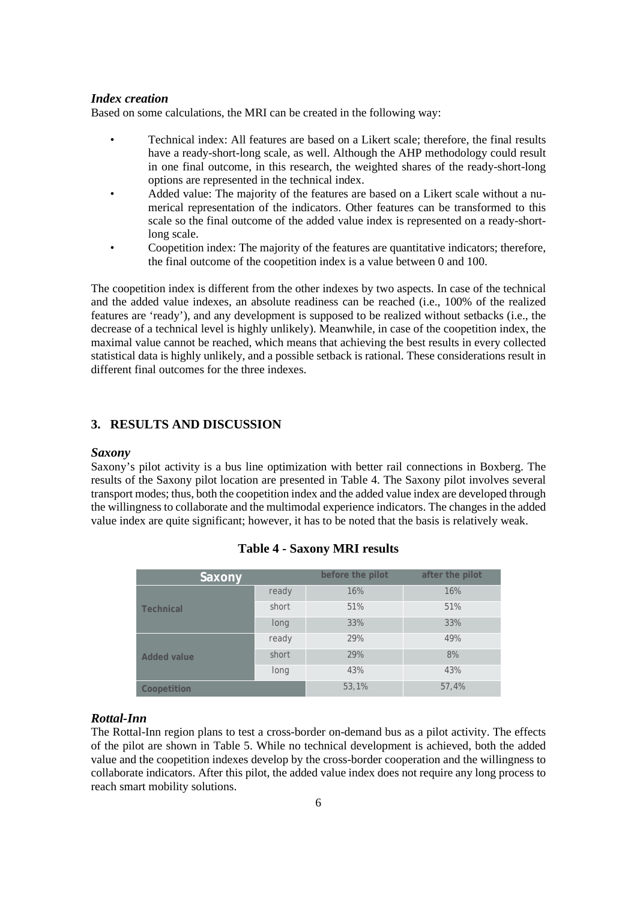### *Index creation*

Based on some calculations, the MRI can be created in the following way:

- Technical index: All features are based on a Likert scale; therefore, the final results have a ready-short-long scale, as well. Although the AHP methodology could result in one final outcome, in this research, the weighted shares of the ready-short-long options are represented in the technical index.
- Added value: The majority of the features are based on a Likert scale without a numerical representation of the indicators. Other features can be transformed to this scale so the final outcome of the added value index is represented on a ready-shortlong scale.
- Coopetition index: The majority of the features are quantitative indicators; therefore, the final outcome of the coopetition index is a value between 0 and 100.

The coopetition index is different from the other indexes by two aspects. In case of the technical and the added value indexes, an absolute readiness can be reached (i.e., 100% of the realized features are 'ready'), and any development is supposed to be realized without setbacks (i.e., the decrease of a technical level is highly unlikely). Meanwhile, in case of the coopetition index, the maximal value cannot be reached, which means that achieving the best results in every collected statistical data is highly unlikely, and a possible setback is rational. These considerations result in different final outcomes for the three indexes.

### **3. RESULTS AND DISCUSSION**

#### *Saxony*

Saxony's pilot activity is a bus line optimization with better rail connections in Boxberg. The results of the Saxony pilot location are presented in Table 4. The Saxony pilot involves several transport modes; thus, both the coopetition index and the added value index are developed through the willingness to collaborate and the multimodal experience indicators. The changes in the added value index are quite significant; however, it has to be noted that the basis is relatively weak.

| Saxony             |       | before the pilot | after the pilot |
|--------------------|-------|------------------|-----------------|
|                    | ready | 16%              | 16%             |
| <b>Technical</b>   | short | 51%              | 51%             |
|                    | long  | 33%              | 33%             |
|                    | ready | 29%              | 49%             |
| <b>Added value</b> | short | 29%              | 8%              |
|                    | long  | 43%              | 43%             |
| Coopetition        |       | 53,1%            | 57,4%           |

### **Table 4 - Saxony MRI results**

### *Rottal-Inn*

The Rottal-Inn region plans to test a cross-border on-demand bus as a pilot activity. The effects of the pilot are shown in Table 5. While no technical development is achieved, both the added value and the coopetition indexes develop by the cross-border cooperation and the willingness to collaborate indicators. After this pilot, the added value index does not require any long process to reach smart mobility solutions.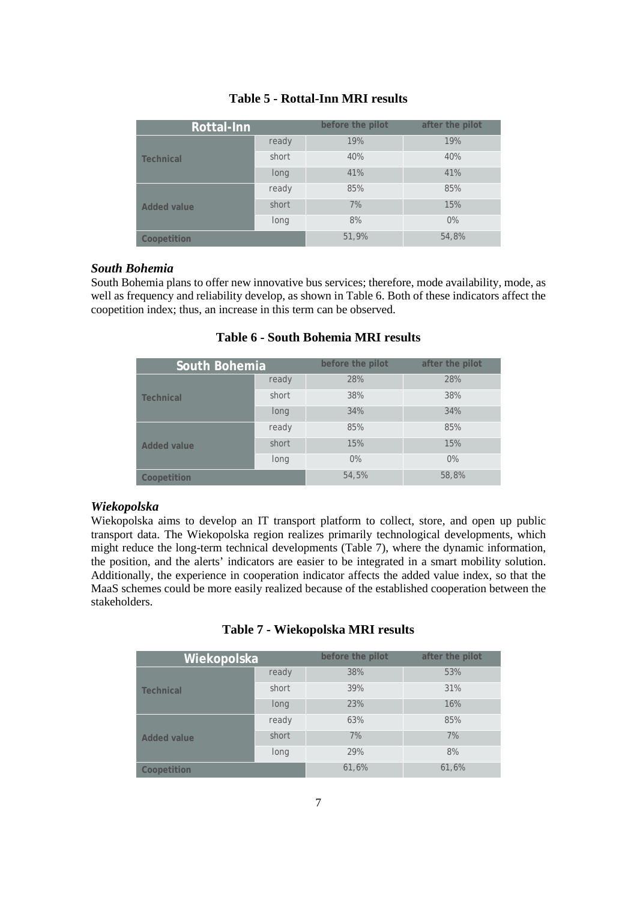| Rottal-Inn         |       | before the pilot | after the pilot |
|--------------------|-------|------------------|-----------------|
|                    | ready | 19%              | 19%             |
| <b>Technical</b>   | short | 40%              | 40%             |
|                    | long  | 41%              | 41%             |
|                    | ready | 85%              | 85%             |
| <b>Added value</b> | short | 7%               | 15%             |
|                    | long  | 8%               | $0\%$           |
| Coopetition        |       | 51,9%            | 54,8%           |

## **Table 5 - Rottal-Inn MRI results**

### *South Bohemia*

South Bohemia plans to offer new innovative bus services; therefore, mode availability, mode, as well as frequency and reliability develop, as shown in Table 6. Both of these indicators affect the coopetition index; thus, an increase in this term can be observed.

| South Bohemia      |       | before the pilot | after the pilot |
|--------------------|-------|------------------|-----------------|
|                    | ready | 28%              | 28%             |
| <b>Technical</b>   | short | 38%              | 38%             |
|                    | long  | 34%              | 34%             |
|                    | ready | 85%              | 85%             |
| <b>Added value</b> | short | 15%              | 15%             |
|                    | long  | $0\%$            | $0\%$           |
| Coopetition        |       | 54,5%            | 58,8%           |

# **Table 6 - South Bohemia MRI results**

### *Wiekopolska*

Wiekopolska aims to develop an IT transport platform to collect, store, and open up public transport data. The Wiekopolska region realizes primarily technological developments, which might reduce the long-term technical developments (Table 7), where the dynamic information, the position, and the alerts' indicators are easier to be integrated in a smart mobility solution. Additionally, the experience in cooperation indicator affects the added value index, so that the MaaS schemes could be more easily realized because of the established cooperation between the stakeholders.

| Table 7 - Wiekopolska MRI results |  |  |
|-----------------------------------|--|--|
|                                   |  |  |

| Wiekopolska        |       | before the pilot | after the pilot |
|--------------------|-------|------------------|-----------------|
|                    | ready | 38%              | 53%             |
| <b>Technical</b>   | short | 39%              | 31%             |
|                    | long  | 23%              | 16%             |
|                    | ready | 63%              | 85%             |
| <b>Added value</b> | short | 7%               | 7%              |
|                    | long  | 29%              | 8%              |
| Coopetition        |       | 61,6%            | 61,6%           |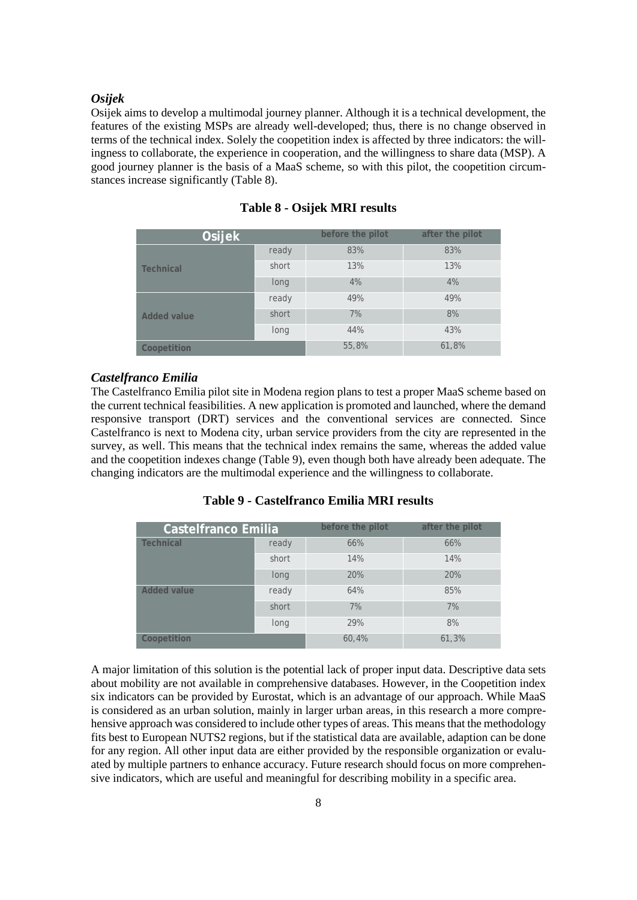### *Osijek*

Osijek aims to develop a multimodal journey planner. Although it is a technical development, the features of the existing MSPs are already well-developed; thus, there is no change observed in terms of the technical index. Solely the coopetition index is affected by three indicators: the willingness to collaborate, the experience in cooperation, and the willingness to share data (MSP). A good journey planner is the basis of a MaaS scheme, so with this pilot, the coopetition circumstances increase significantly (Table 8).

| Osijek             |       | before the pilot | after the pilot |
|--------------------|-------|------------------|-----------------|
|                    | ready | 83%              | 83%             |
| <b>Technical</b>   | short | 13%              | 13%             |
|                    | long  | 4%               | 4%              |
|                    | ready | 49%              | 49%             |
| <b>Added value</b> | short | 7%               | 8%              |
|                    | long  | 44%              | 43%             |
| Coopetition        |       | 55,8%            | 61,8%           |

**Table 8 - Osijek MRI results**

#### *Castelfranco Emilia*

The Castelfranco Emilia pilot site in Modena region plans to test a proper MaaS scheme based on the current technical feasibilities. A new application is promoted and launched, where the demand responsive transport (DRT) services and the conventional services are connected. Since Castelfranco is next to Modena city, urban service providers from the city are represented in the survey, as well. This means that the technical index remains the same, whereas the added value and the coopetition indexes change (Table 9), even though both have already been adequate. The changing indicators are the multimodal experience and the willingness to collaborate.

| Table 9 - Castelfranco Emilia MRI results |  |  |  |
|-------------------------------------------|--|--|--|
|-------------------------------------------|--|--|--|

| <b>Castelfranco Emilia</b> |       | before the pilot | after the pilot |
|----------------------------|-------|------------------|-----------------|
| <b>Technical</b>           | ready | 66%              | 66%             |
|                            | short | 14%              | 14%             |
|                            | long  | 20%              | 20%             |
| <b>Added value</b>         | ready | 64%              | 85%             |
|                            | short | 7%               | 7%              |
|                            | long  | 29%              | 8%              |
| Coopetition                |       | 60,4%            | 61,3%           |

A major limitation of this solution is the potential lack of proper input data. Descriptive data sets about mobility are not available in comprehensive databases. However, in the Coopetition index six indicators can be provided by Eurostat, which is an advantage of our approach. While MaaS is considered as an urban solution, mainly in larger urban areas, in this research a more comprehensive approach was considered to include other types of areas. This means that the methodology fits best to European NUTS2 regions, but if the statistical data are available, adaption can be done for any region. All other input data are either provided by the responsible organization or evaluated by multiple partners to enhance accuracy. Future research should focus on more comprehensive indicators, which are useful and meaningful for describing mobility in a specific area.